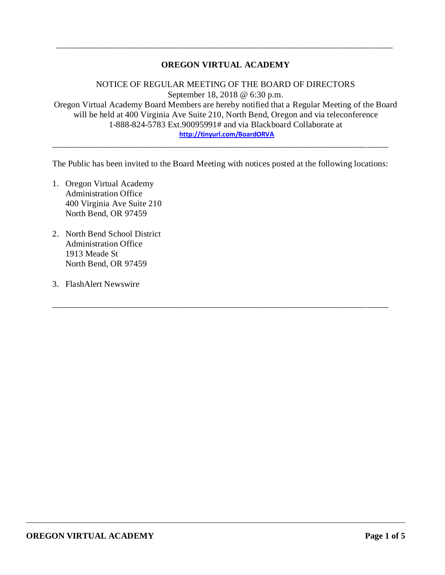## **OREGON VIRTUAL ACADEMY**

\_\_\_\_\_\_\_\_\_\_\_\_\_\_\_\_\_\_\_\_\_\_\_\_\_\_\_\_\_\_\_\_\_\_\_\_\_\_\_\_\_\_\_\_\_\_\_\_\_\_\_\_\_\_\_\_\_\_\_\_\_\_\_\_\_\_\_\_\_\_\_\_\_\_\_\_\_

NOTICE OF REGULAR MEETING OF THE BOARD OF DIRECTORS September 18, 2018 @ 6:30 p.m. Oregon Virtual Academy Board Members are hereby notified that a Regular Meeting of the Board will be held at 400 Virginia Ave Suite 210, North Bend, Oregon and via teleconference 1-888-824-5783 Ext.90095991# and via Blackboard Collaborate at **<http://tinyurl.com/BoardORVA>**

The Public has been invited to the Board Meeting with notices posted at the following locations:

\_\_\_\_\_\_\_\_\_\_\_\_\_\_\_\_\_\_\_\_\_\_\_\_\_\_\_\_\_\_\_\_\_\_\_\_\_\_\_\_\_\_\_\_\_\_\_\_\_\_\_\_\_\_\_\_\_\_\_\_\_\_\_\_\_\_\_\_\_\_\_\_\_\_\_\_\_

\_\_\_\_\_\_\_\_\_\_\_\_\_\_\_\_\_\_\_\_\_\_\_\_\_\_\_\_\_\_\_\_\_\_\_\_\_\_\_\_\_\_\_\_\_\_\_\_\_\_\_\_\_\_\_\_\_\_\_\_\_\_\_\_\_\_\_\_\_\_\_\_\_\_\_\_\_

- 1. Oregon Virtual Academy Administration Office 400 Virginia Ave Suite 210 North Bend, OR 97459
- 2. North Bend School District Administration Office 1913 Meade St North Bend, OR 97459
- 3. FlashAlert Newswire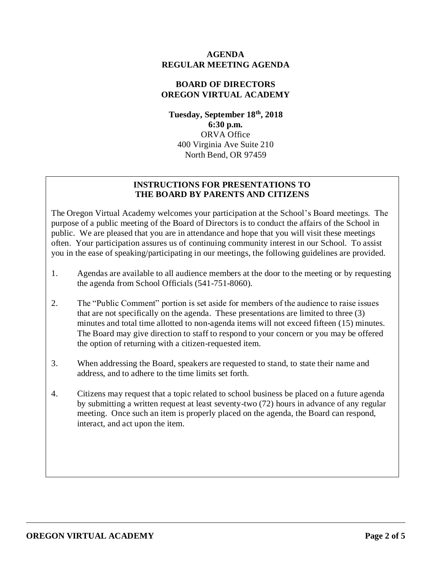#### **AGENDA REGULAR MEETING AGENDA**

## **BOARD OF DIRECTORS OREGON VIRTUAL ACADEMY**

**Tuesday, September 18th , 2018 6:30 p.m.** ORVA Office 400 Virginia Ave Suite 210 North Bend, OR 97459

# **INSTRUCTIONS FOR PRESENTATIONS TO THE BOARD BY PARENTS AND CITIZENS**

The Oregon Virtual Academy welcomes your participation at the School's Board meetings. The purpose of a public meeting of the Board of Directors is to conduct the affairs of the School in public. We are pleased that you are in attendance and hope that you will visit these meetings often. Your participation assures us of continuing community interest in our School. To assist you in the ease of speaking/participating in our meetings, the following guidelines are provided.

- 1. Agendas are available to all audience members at the door to the meeting or by requesting the agenda from School Officials (541-751-8060).
- 2. The "Public Comment" portion is set aside for members of the audience to raise issues that are not specifically on the agenda. These presentations are limited to three (3) minutes and total time allotted to non-agenda items will not exceed fifteen (15) minutes. The Board may give direction to staff to respond to your concern or you may be offered the option of returning with a citizen-requested item.
- 3. When addressing the Board, speakers are requested to stand, to state their name and address, and to adhere to the time limits set forth.
- 4. Citizens may request that a topic related to school business be placed on a future agenda by submitting a written request at least seventy-two (72) hours in advance of any regular meeting. Once such an item is properly placed on the agenda, the Board can respond, interact, and act upon the item.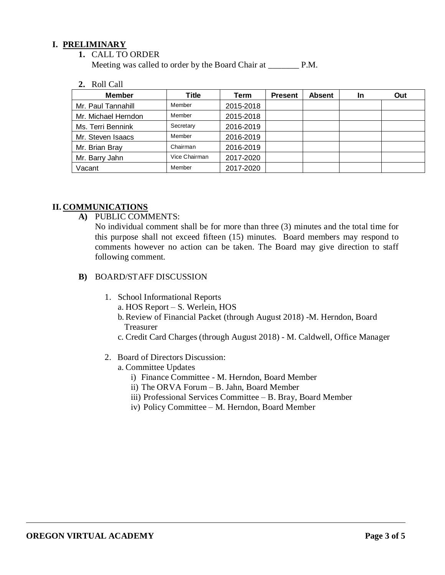#### **I. PRELIMINARY**

**1.** CALL TO ORDER

Meeting was called to order by the Board Chair at P.M.

**2.** Roll Call

| <b>Member</b>       | <b>Title</b>  | Term      | <b>Present</b> | <b>Absent</b> | In | Out |
|---------------------|---------------|-----------|----------------|---------------|----|-----|
| Mr. Paul Tannahill  | Member        | 2015-2018 |                |               |    |     |
| Mr. Michael Herndon | Member        | 2015-2018 |                |               |    |     |
| Ms. Terri Bennink   | Secretary     | 2016-2019 |                |               |    |     |
| Mr. Steven Isaacs   | Member        | 2016-2019 |                |               |    |     |
| Mr. Brian Bray      | Chairman      | 2016-2019 |                |               |    |     |
| Mr. Barry Jahn      | Vice Chairman | 2017-2020 |                |               |    |     |
| Vacant              | Member        | 2017-2020 |                |               |    |     |

### **II. COMMUNICATIONS**

**A)** PUBLIC COMMENTS:

No individual comment shall be for more than three (3) minutes and the total time for this purpose shall not exceed fifteen (15) minutes. Board members may respond to comments however no action can be taken. The Board may give direction to staff following comment.

- **B)** BOARD/STAFF DISCUSSION
	- 1. School Informational Reports
		- a. HOS Report S. Werlein, HOS
		- b. Review of Financial Packet (through August 2018) -M. Herndon, Board Treasurer
		- c. Credit Card Charges (through August 2018) M. Caldwell, Office Manager
	- 2. Board of Directors Discussion:
		- a. Committee Updates
			- i) Finance Committee M. Herndon, Board Member
			- ii) The ORVA Forum B. Jahn, Board Member
			- iii) Professional Services Committee B. Bray, Board Member
			- iv) Policy Committee M. Herndon, Board Member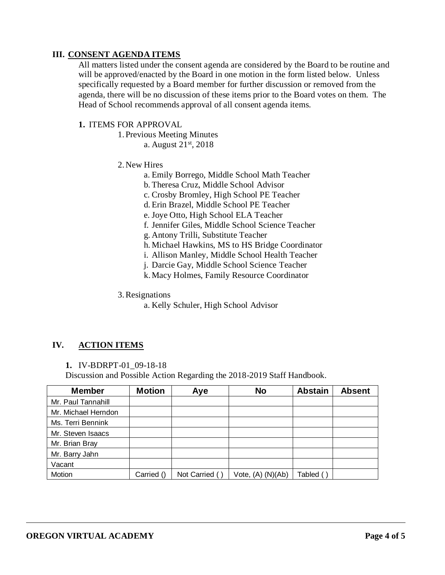## **III. CONSENT AGENDA ITEMS**

All matters listed under the consent agenda are considered by the Board to be routine and will be approved/enacted by the Board in one motion in the form listed below. Unless specifically requested by a Board member for further discussion or removed from the agenda, there will be no discussion of these items prior to the Board votes on them. The Head of School recommends approval of all consent agenda items.

#### **1.** ITEMS FOR APPROVAL

- 1. Previous Meeting Minutes
	- a. August 21st, 2018
- 2.New Hires
	- a. Emily Borrego, Middle School Math Teacher
	- b. Theresa Cruz, Middle School Advisor
	- c. Crosby Bromley, High School PE Teacher
	- d. Erin Brazel, Middle School PE Teacher
	- e. Joye Otto, High School ELA Teacher
	- f. Jennifer Giles, Middle School Science Teacher
	- g. Antony Trilli, Substitute Teacher
	- h. Michael Hawkins, MS to HS Bridge Coordinator
	- i. Allison Manley, Middle School Health Teacher
	- j. Darcie Gay, Middle School Science Teacher
	- k.Macy Holmes, Family Resource Coordinator
- 3.Resignations
	- a. Kelly Schuler, High School Advisor

# **IV. ACTION ITEMS**

**1.** IV-BDRPT-01\_09-18-18

Discussion and Possible Action Regarding the 2018-2019 Staff Handbook.

| <b>Member</b>       | <b>Motion</b> | Aye            | <b>No</b>         | <b>Abstain</b> | <b>Absent</b> |
|---------------------|---------------|----------------|-------------------|----------------|---------------|
| Mr. Paul Tannahill  |               |                |                   |                |               |
| Mr. Michael Herndon |               |                |                   |                |               |
| Ms. Terri Bennink   |               |                |                   |                |               |
| Mr. Steven Isaacs   |               |                |                   |                |               |
| Mr. Brian Bray      |               |                |                   |                |               |
| Mr. Barry Jahn      |               |                |                   |                |               |
| Vacant              |               |                |                   |                |               |
| Motion              | Carried ()    | Not Carried () | Vote, (A) (N)(Ab) | Tabled ()      |               |